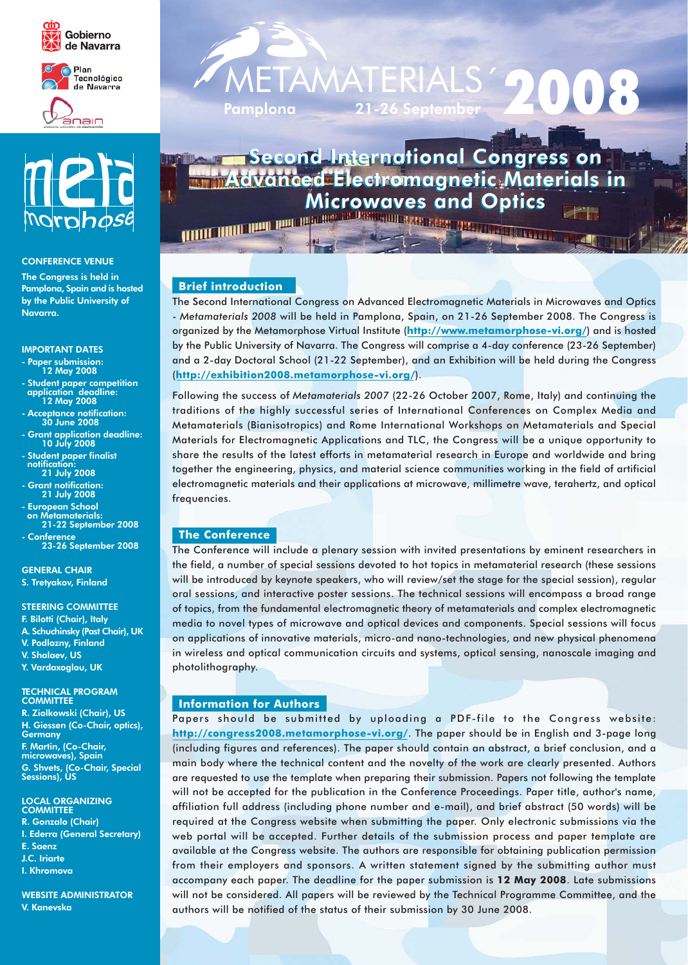





### **CONFERENCE VENUE**

The Congress is held in Pamplona, Spain and is hosted by the Public University of Navarra.

#### **IMPORTANT DATES**

- Paper submission:<br>12 May 2008
- Student paper competition<br>application deadline:<br>12 May 2008
- Acceptance notification:<br>30 June 2008
- Grant application deadline:<br>10 July 2008
- **Student paper finalist** notification 21 July 2008
- Grant notification:<br>21 July 2008
- **European School** on Metamaterials: 21-22 September 2008
- **Conference** 23-26 September 2008

**GENERAL CHAIR** S. Tretyakov, Finland

#### **STEERING COMMITTEE**

- F. Bilotti (Chair), Italy
- A. Schuchinsky (Past Chair), UK
- V. Podlozny, Finland
- V. Shalaev, US
- Y. Vardaxoglou, UK

# TECHNICAL PROGRAM<br>COMMITTEE

R. Ziolkowski (Chair), US H. Giessen (Co-Chair, optics), Germany F. Martin, (Co-Chair, microwaves), Spain G. Shvets, (Co-Chair, Special<br>Sessions), US

**LOCAL ORGANIZING COMMITTEE** R. Gonzalo (Chair) I. Ederra (General Secretary) E. Saenz J.C. Iriarte

I. Khromova

**WEBSITE ADMINISTRATOR** V. Kanevska

# TAMAT Pamplon<u>a</u>  $21 - 26$

# **Second International Congress on** dvanced Electromagnetic Materials in **Microwaves and Optics**

**THE REAL PROPERTY AND RELEASED FOR ASSESSMENT OF A** 

# **Brief introduction**

The Second International Congress on Advanced Electromagnetic Materials in Microwaves and Optics - Metamaterials 2008 will be held in Pamplona, Spain, on 21-26 September 2008. The Congress is organized by the Metamorphose Virtual Institute (http://www.metamorphose-vi.org/) and is hosted by the Public University of Navarra. The Congress will comprise a 4-day conference (23-26 September) and a 2-day Doctoral School (21-22 September), and an Exhibition will be held during the Congress (http://exhibition2008.metamorphose-vi.org/).

**SERGINE** 

49

Following the success of Metamaterials 2007 (22-26 October 2007, Rome, Italy) and continuing the traditions of the highly successful series of International Conferences on Complex Media and Metamaterials (Bianisotropics) and Rome International Workshops on Metamaterials and Special Materials for Electromagnetic Applications and TLC, the Congress will be a unique opportunity to share the results of the latest efforts in metamaterial research in Europe and worldwide and bring together the engineering, physics, and material science communities working in the field of artificial electromagnetic materials and their applications at microwave, millimetre wave, terahertz, and optical frequencies.

# **The Conference**

The Conference will include a plenary session with invited presentations by eminent researchers in the field, a number of special sessions devoted to hot topics in metamaterial research (these sessions will be introduced by keynote speakers, who will review/set the stage for the special session), regular oral sessions, and interactive poster sessions. The technical sessions will encompass a broad range of topics, from the fundamental electromagnetic theory of metamaterials and complex electromagnetic media to novel types of microwave and optical devices and components. Special sessions will focus on applications of innovative materials, micro-and nano-technologies, and new physical phenomena in wireless and optical communication circuits and systems, optical sensing, nanoscale imaging and photolithography.

# **Information for Authors**

Papers should be submitted by uploading a PDF-file to the Congress website: http://congress2008.metamorphose-vi.org/. The paper should be in English and 3-page long (including figures and references). The paper should contain an abstract, a brief conclusion, and a main body where the technical content and the novelty of the work are clearly presented. Authors are requested to use the template when preparing their submission. Papers not following the template will not be accepted for the publication in the Conference Proceedings. Paper title, author's name, affiliation full address (including phone number and e-mail), and brief abstract (50 words) will be required at the Congress website when submitting the paper. Only electronic submissions via the web portal will be accepted. Further details of the submission process and paper template are available at the Congress website. The authors are responsible for obtaining publication permission from their employers and sponsors. A written statement signed by the submitting author must accompany each paper. The deadline for the paper submission is 12 May 2008. Late submissions will not be considered. All papers will be reviewed by the Technical Programme Committee, and the authors will be notified of the status of their submission by 30 June 2008.